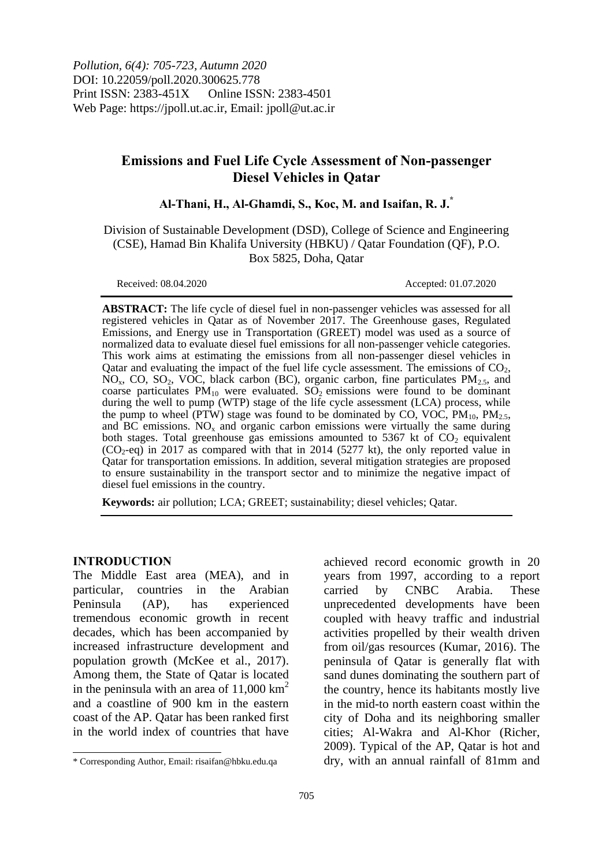*Pollution, 6(4): 705-723, Autumn 2020* DOI: 10.22059/poll.2020.300625.778 Print ISSN: 2383-451X Online ISSN: 2383-4501 Web Page: https://jpoll.ut.ac.ir, Email: jpoll@ut.ac.ir

# **Emissions and Fuel Life Cycle Assessment of Non-passenger Diesel Vehicles in Qatar**

**Al-Thani, H., Al-Ghamdi, S., Koc, M. and Isaifan, R. J.\***

Division of Sustainable Development (DSD), College of Science and Engineering (CSE), Hamad Bin Khalifa University (HBKU) / Qatar Foundation (QF), P.O. Box 5825, Doha, Qatar

Received: 08.04.2020 Accepted: 01.07.2020

**ABSTRACT:** The life cycle of diesel fuel in non-passenger vehicles was assessed for all registered vehicles in Qatar as of November 2017. The Greenhouse gases, Regulated Emissions, and Energy use in Transportation (GREET) model was used as a source of normalized data to evaluate diesel fuel emissions for all non-passenger vehicle categories. This work aims at estimating the emissions from all non-passenger diesel vehicles in Qatar and evaluating the impact of the fuel life cycle assessment. The emissions of  $CO<sub>2</sub>$ ,  $NO<sub>x</sub>$ , CO, SO<sub>2</sub>, VOC, black carbon (BC), organic carbon, fine particulates PM<sub>2.5</sub>, and coarse particulates  $PM_{10}$  were evaluated.  $SO_2$  emissions were found to be dominant during the well to pump (WTP) stage of the life cycle assessment (LCA) process, while the pump to wheel (PTW) stage was found to be dominated by CO, VOC,  $PM_{10}$ ,  $PM_{2.5}$ , and  $BC$  emissions. NO<sub>x</sub> and organic carbon emissions were virtually the same during both stages. Total greenhouse gas emissions amounted to 5367 kt of  $CO<sub>2</sub>$  equivalent  $(CO_2$ -eq) in 2017 as compared with that in 2014 (5277 kt), the only reported value in Qatar for transportation emissions. In addition, several mitigation strategies are proposed to ensure sustainability in the transport sector and to minimize the negative impact of diesel fuel emissions in the country.

**Keywords:** air pollution; LCA; GREET; sustainability; diesel vehicles; Qatar.

#### **INTRODUCTION**

1

The Middle East area (MEA), and in particular, countries in the Arabian Peninsula (AP), has experienced tremendous economic growth in recent decades, which has been accompanied by increased infrastructure development and population growth (McKee et al., 2017). Among them, the State of Qatar is located in the peninsula with an area of  $11,000 \mathrm{km}^2$ and a coastline of 900 km in the eastern coast of the AP. Qatar has been ranked first in the world index of countries that have

achieved record economic growth in 20 years from 1997, according to a report carried by CNBC Arabia. These unprecedented developments have been coupled with heavy traffic and industrial activities propelled by their wealth driven from oil/gas resources (Kumar, 2016). The peninsula of Qatar is generally flat with sand dunes dominating the southern part of the country, hence its habitants mostly live in the mid-to north eastern coast within the city of Doha and its neighboring smaller cities; Al-Wakra and Al-Khor (Richer, 2009). Typical of the AP, Qatar is hot and dry, with an annual rainfall of 81mm and

<sup>\*</sup> Corresponding Author, Email: risaifan@hbku.edu.qa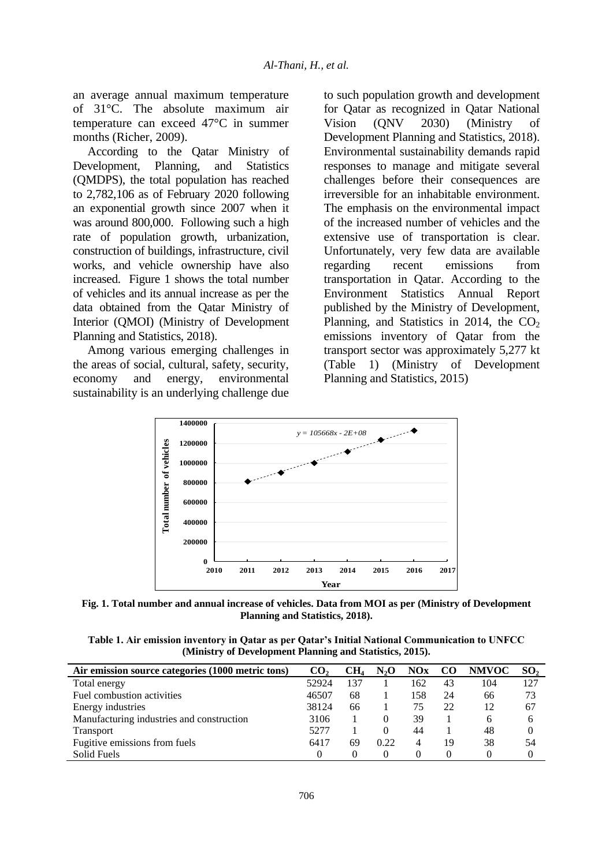an average annual maximum temperature of 31°C. The absolute maximum air temperature can exceed 47°C in summer months (Richer, 2009).

According to the Qatar Ministry of Development, Planning, and Statistics (QMDPS), the total population has reached to 2,782,106 as of February 2020 following an exponential growth since 2007 when it was around 800,000. Following such a high rate of population growth, urbanization, construction of buildings, infrastructure, civil works, and vehicle ownership have also increased. Figure 1 shows the total number of vehicles and its annual increase as per the data obtained from the Qatar Ministry of Interior (QMOI) (Ministry of Development Planning and Statistics, 2018).

Among various emerging challenges in the areas of social, cultural, safety, security, economy and energy, environmental sustainability is an underlying challenge due to such population growth and development for Qatar as recognized in Qatar National Vision (QNV 2030) (Ministry of Development Planning and Statistics, 2018). Environmental sustainability demands rapid responses to manage and mitigate several challenges before their consequences are irreversible for an inhabitable environment. The emphasis on the environmental impact of the increased number of vehicles and the extensive use of transportation is clear. Unfortunately, very few data are available regarding recent emissions from transportation in Qatar. According to the Environment Statistics Annual Report published by the Ministry of Development, Planning, and Statistics in 2014, the  $CO<sub>2</sub>$ emissions inventory of Qatar from the transport sector was approximately 5,277 kt (Table 1) (Ministry of Development Planning and Statistics, 2015)



**Fig. 1. Total number and annual increase of vehicles. Data from MOI as per (Ministry of Development Planning and Statistics, 2018).**

**Table 1. Air emission inventory in Qatar as per Qatar's Initial National Communication to UNFCC (Ministry of Development Planning and Statistics, 2015).**

| Air emission source categories (1000 metric tons) | CO <sub>2</sub> | CH <sub>4</sub> | N <sub>2</sub> O | NOx | <b>CO</b> | <b>NMVOC</b> | SO <sub>2</sub> |
|---------------------------------------------------|-----------------|-----------------|------------------|-----|-----------|--------------|-----------------|
| Total energy                                      | 52924           | 137             |                  | 162 | 43        | 104          | 127             |
| Fuel combustion activities                        | 46507           | 68              |                  | 158 | 24        | 66           | 73              |
| Energy industries                                 | 38124           | 66              |                  | 75  | 22        | 12           | 67              |
| Manufacturing industries and construction         | 3106            |                 |                  | 39  |           | 6            | 6               |
| <b>Transport</b>                                  | 5277            |                 | $\theta$         | 44  |           | 48           | 0               |
| Fugitive emissions from fuels                     | 6417            | 69              | 0.22             | 4   | 19        | 38           | 54              |
| Solid Fuels                                       |                 |                 |                  |     |           |              |                 |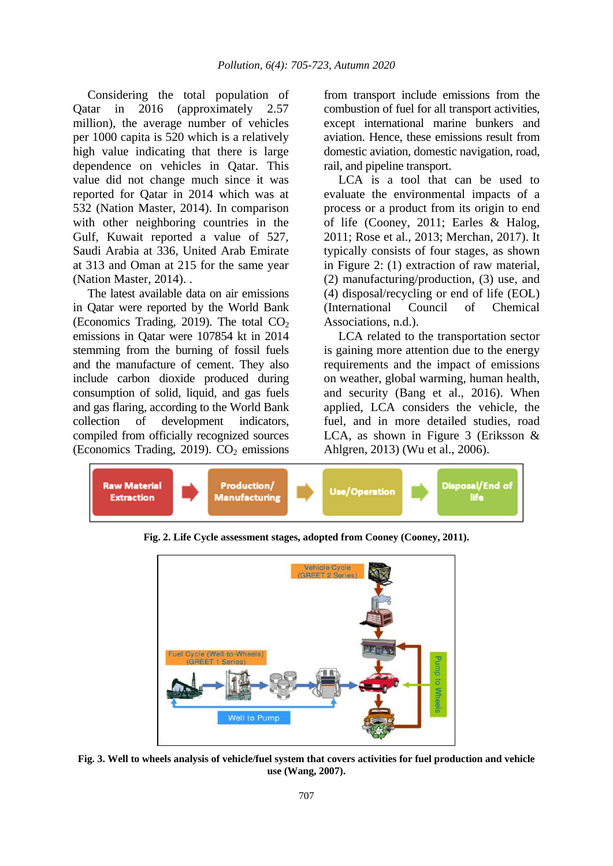Considering the total population of Qatar in 2016 (approximately 2.57 million), the average number of vehicles per 1000 capita is 520 which is a relatively high value indicating that there is large dependence on vehicles in Qatar. This value did not change much since it was reported for Qatar in 2014 which was at 532 (Nation Master, 2014). In comparison with other neighboring countries in the Gulf, Kuwait reported a value of 527, Saudi Arabia at 336, United Arab Emirate at 313 and Oman at 215 for the same year (Nation Master, 2014). .

The latest available data on air emissions in Qatar were reported by the World Bank (Economics Trading, 2019). The total  $CO<sub>2</sub>$ emissions in Qatar were 107854 kt in 2014 stemming from the burning of fossil fuels and the manufacture of cement. They also include carbon dioxide produced during consumption of solid, liquid, and gas fuels and gas flaring, according to the World Bank collection of development indicators, compiled from officially recognized sources (Economics Trading, 2019).  $CO<sub>2</sub>$  emissions

from transport include emissions from the combustion of fuel for all transport activities, except international marine bunkers and aviation. Hence, these emissions result from domestic aviation, domestic navigation, road, rail, and pipeline transport.

LCA is a tool that can be used to evaluate the environmental impacts of a process or a product from its origin to end of life (Cooney, 2011; Earles & Halog, 2011; Rose et al., 2013; Merchan, 2017). It typically consists of four stages, as shown in Figure 2: (1) extraction of raw material, (2) manufacturing/production, (3) use, and (4) disposal/recycling or end of life (EOL) (International Council of Chemical Associations, n.d.).

LCA related to the transportation sector is gaining more attention due to the energy requirements and the impact of emissions on weather, global warming, human health, and security (Bang et al., 2016). When applied, LCA considers the vehicle, the fuel, and in more detailed studies, road LCA, as shown in Figure 3 (Eriksson & Ahlgren, 2013) (Wu et al., 2006).



**Fig. 2. Life Cycle assessment stages, adopted from Cooney (Cooney, 2011).**



**Fig. 3. Well to wheels analysis of vehicle/fuel system that covers activities for fuel production and vehicle use (Wang, 2007).**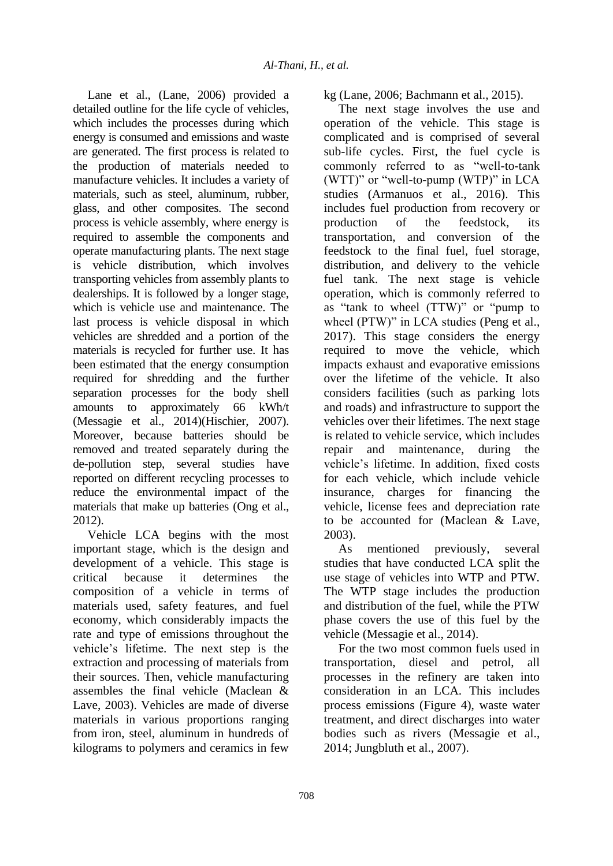Lane et al., (Lane, 2006) provided a detailed outline for the life cycle of vehicles, which includes the processes during which energy is consumed and emissions and waste are generated. The first process is related to the production of materials needed to manufacture vehicles. It includes a variety of materials, such as steel, aluminum, rubber, glass, and other composites. The second process is vehicle assembly, where energy is required to assemble the components and operate manufacturing plants. The next stage is vehicle distribution, which involves transporting vehicles from assembly plants to dealerships. It is followed by a longer stage, which is vehicle use and maintenance. The last process is vehicle disposal in which vehicles are shredded and a portion of the materials is recycled for further use. It has been estimated that the energy consumption required for shredding and the further separation processes for the body shell amounts to approximately 66 kWh/t (Messagie et al., 2014)(Hischier, 2007). Moreover, because batteries should be removed and treated separately during the de-pollution step, several studies have reported on different recycling processes to reduce the environmental impact of the materials that make up batteries (Ong et al., 2012).

Vehicle LCA begins with the most important stage, which is the design and development of a vehicle. This stage is critical because it determines the composition of a vehicle in terms of materials used, safety features, and fuel economy, which considerably impacts the rate and type of emissions throughout the vehicle's lifetime. The next step is the extraction and processing of materials from their sources. Then, vehicle manufacturing assembles the final vehicle (Maclean & Lave, 2003). Vehicles are made of diverse materials in various proportions ranging from iron, steel, aluminum in hundreds of kilograms to polymers and ceramics in few

kg (Lane, 2006; Bachmann et al., 2015).

The next stage involves the use and operation of the vehicle. This stage is complicated and is comprised of several sub-life cycles. First, the fuel cycle is commonly referred to as "well-to-tank (WTT)" or "well-to-pump (WTP)" in LCA studies (Armanuos et al., 2016). This includes fuel production from recovery or production of the feedstock, its transportation, and conversion of the feedstock to the final fuel, fuel storage, distribution, and delivery to the vehicle fuel tank. The next stage is vehicle operation, which is commonly referred to as "tank to wheel (TTW)" or "pump to wheel (PTW)" in LCA studies (Peng et al., 2017). This stage considers the energy required to move the vehicle, which impacts exhaust and evaporative emissions over the lifetime of the vehicle. It also considers facilities (such as parking lots and roads) and infrastructure to support the vehicles over their lifetimes. The next stage is related to vehicle service, which includes repair and maintenance, during the vehicle's lifetime. In addition, fixed costs for each vehicle, which include vehicle insurance, charges for financing the vehicle, license fees and depreciation rate to be accounted for (Maclean & Lave, 2003).

As mentioned previously, several studies that have conducted LCA split the use stage of vehicles into WTP and PTW. The WTP stage includes the production and distribution of the fuel, while the PTW phase covers the use of this fuel by the vehicle (Messagie et al., 2014).

For the two most common fuels used in transportation, diesel and petrol, all processes in the refinery are taken into consideration in an LCA. This includes process emissions (Figure 4), waste water treatment, and direct discharges into water bodies such as rivers (Messagie et al., 2014; Jungbluth et al., 2007).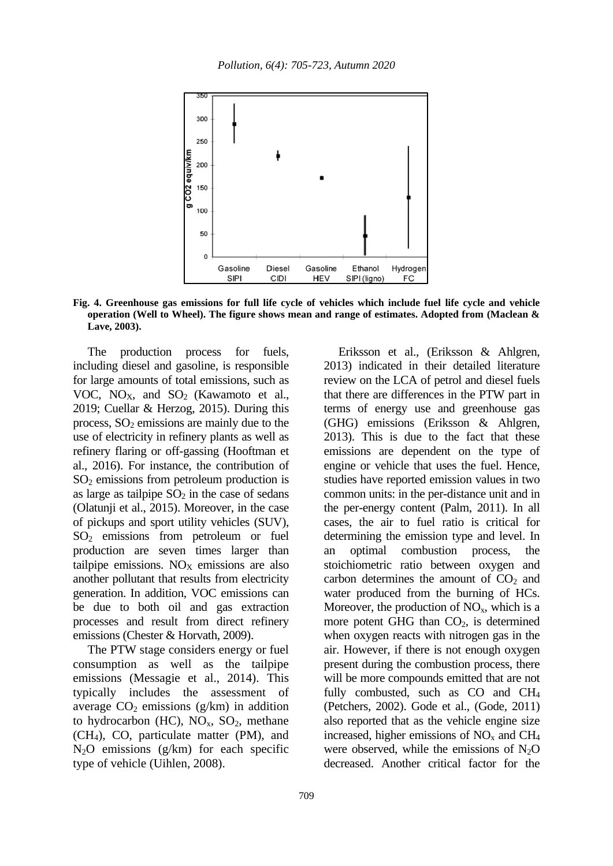

**Fig. 4. Greenhouse gas emissions for full life cycle of vehicles which include fuel life cycle and vehicle operation (Well to Wheel). The figure shows mean and range of estimates. Adopted from (Maclean & Lave, 2003).**

The production process for fuels, including diesel and gasoline, is responsible for large amounts of total emissions, such as VOC,  $NO<sub>X</sub>$ , and  $SO<sub>2</sub>$  (Kawamoto et al., 2019; Cuellar & Herzog, 2015). During this process,  $SO<sub>2</sub>$  emissions are mainly due to the use of electricity in refinery plants as well as refinery flaring or off-gassing (Hooftman et al., 2016). For instance, the contribution of  $SO<sub>2</sub>$  emissions from petroleum production is as large as tailpipe  $SO_2$  in the case of sedans (Olatunji et al., 2015). Moreover, in the case of pickups and sport utility vehicles (SUV), SO<sup>2</sup> emissions from petroleum or fuel production are seven times larger than tailpipe emissions.  $NO<sub>x</sub>$  emissions are also another pollutant that results from electricity generation. In addition, VOC emissions can be due to both oil and gas extraction processes and result from direct refinery emissions (Chester & Horvath, 2009).

The PTW stage considers energy or fuel consumption as well as the tailpipe emissions (Messagie et al., 2014). This typically includes the assessment of average  $CO<sub>2</sub>$  emissions (g/km) in addition to hydrocarbon (HC),  $NO_x$ ,  $SO_2$ , methane (CH4), CO, particulate matter (PM), and  $N<sub>2</sub>O$  emissions (g/km) for each specific type of vehicle (Uihlen, 2008).

Eriksson et al., (Eriksson & Ahlgren, 2013) indicated in their detailed literature review on the LCA of petrol and diesel fuels that there are differences in the PTW part in terms of energy use and greenhouse gas (GHG) emissions (Eriksson & Ahlgren, 2013). This is due to the fact that these emissions are dependent on the type of engine or vehicle that uses the fuel. Hence, studies have reported emission values in two common units: in the per-distance unit and in the per-energy content (Palm, 2011). In all cases, the air to fuel ratio is critical for determining the emission type and level. In an optimal combustion process, the stoichiometric ratio between oxygen and carbon determines the amount of  $CO<sub>2</sub>$  and water produced from the burning of HCs. Moreover, the production of  $NO<sub>x</sub>$ , which is a more potent GHG than  $CO<sub>2</sub>$ , is determined when oxygen reacts with nitrogen gas in the air. However, if there is not enough oxygen present during the combustion process, there will be more compounds emitted that are not fully combusted, such as CO and CH<sup>4</sup> (Petchers, 2002). Gode et al., (Gode, 2011) also reported that as the vehicle engine size increased, higher emissions of  $NO<sub>x</sub>$  and  $CH<sub>4</sub>$ were observed, while the emissions of  $N_2O$ decreased. Another critical factor for the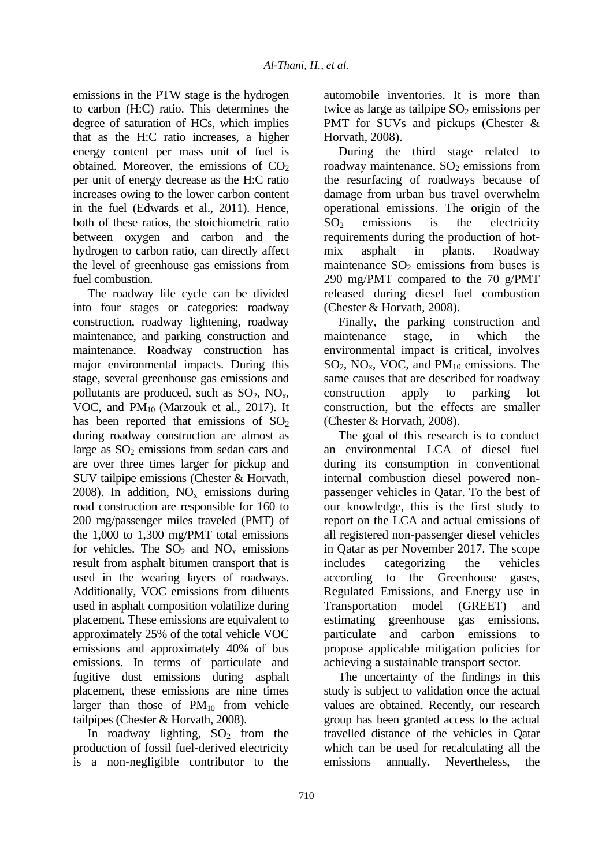emissions in the PTW stage is the hydrogen to carbon (H:C) ratio. This determines the degree of saturation of HCs, which implies that as the H:C ratio increases, a higher energy content per mass unit of fuel is obtained. Moreover, the emissions of  $CO<sub>2</sub>$ per unit of energy decrease as the H:C ratio increases owing to the lower carbon content in the fuel (Edwards et al., 2011). Hence, both of these ratios, the stoichiometric ratio between oxygen and carbon and the hydrogen to carbon ratio, can directly affect the level of greenhouse gas emissions from fuel combustion.

The roadway life cycle can be divided into four stages or categories: roadway construction, roadway lightening, roadway maintenance, and parking construction and maintenance. Roadway construction has major environmental impacts. During this stage, several greenhouse gas emissions and pollutants are produced, such as  $SO_2$ ,  $NO_x$ , VOC, and PM<sub>10</sub> (Marzouk et al., 2017). It has been reported that emissions of  $SO<sub>2</sub>$ during roadway construction are almost as large as  $SO<sub>2</sub>$  emissions from sedan cars and are over three times larger for pickup and SUV tailpipe emissions (Chester & Horvath, 2008). In addition,  $NO<sub>x</sub>$  emissions during road construction are responsible for 160 to 200 mg/passenger miles traveled (PMT) of the 1,000 to 1,300 mg/PMT total emissions for vehicles. The  $SO_2$  and  $NO_x$  emissions result from asphalt bitumen transport that is used in the wearing layers of roadways. Additionally, VOC emissions from diluents used in asphalt composition volatilize during placement. These emissions are equivalent to approximately 25% of the total vehicle VOC emissions and approximately 40% of bus emissions. In terms of particulate and fugitive dust emissions during asphalt placement, these emissions are nine times larger than those of  $PM_{10}$  from vehicle tailpipes (Chester & Horvath, 2008).

In roadway lighting,  $SO_2$  from the production of fossil fuel-derived electricity is a non-negligible contributor to the automobile inventories. It is more than twice as large as tailpipe  $SO<sub>2</sub>$  emissions per PMT for SUVs and pickups (Chester & Horvath, 2008).

During the third stage related to roadway maintenance,  $SO_2$  emissions from the resurfacing of roadways because of damage from urban bus travel overwhelm operational emissions. The origin of the  $SO<sub>2</sub>$  emissions is the electricity requirements during the production of hotmix asphalt in plants. Roadway maintenance  $SO<sub>2</sub>$  emissions from buses is 290 mg/PMT compared to the 70 g/PMT released during diesel fuel combustion (Chester & Horvath, 2008).

Finally, the parking construction and maintenance stage, in which the environmental impact is critical, involves  $SO_2$ , NO<sub>x</sub>, VOC, and PM<sub>10</sub> emissions. The same causes that are described for roadway construction apply to parking lot construction, but the effects are smaller (Chester & Horvath, 2008).

The goal of this research is to conduct an environmental LCA of diesel fuel during its consumption in conventional internal combustion diesel powered nonpassenger vehicles in Qatar. To the best of our knowledge, this is the first study to report on the LCA and actual emissions of all registered non-passenger diesel vehicles in Qatar as per November 2017. The scope includes categorizing the vehicles according to the Greenhouse gases, Regulated Emissions, and Energy use in Transportation model (GREET) and estimating greenhouse gas emissions, particulate and carbon emissions to propose applicable mitigation policies for achieving a sustainable transport sector.

The uncertainty of the findings in this study is subject to validation once the actual values are obtained. Recently, our research group has been granted access to the actual travelled distance of the vehicles in Qatar which can be used for recalculating all the emissions annually. Nevertheless, the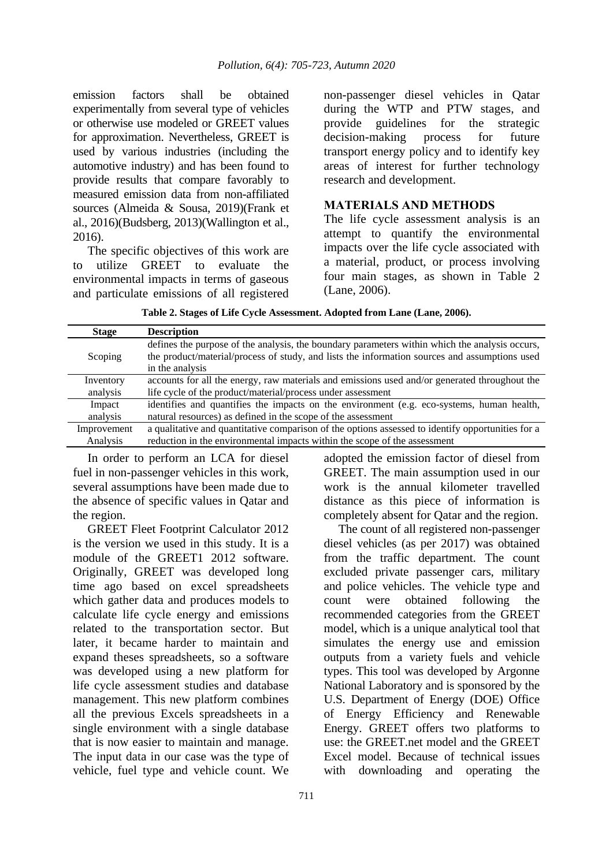emission factors shall be obtained experimentally from several type of vehicles or otherwise use modeled or GREET values for approximation. Nevertheless, GREET is used by various industries (including the automotive industry) and has been found to provide results that compare favorably to measured emission data from non-affiliated sources (Almeida & Sousa, 2019)(Frank et al., 2016)(Budsberg, 2013)(Wallington et al., 2016).

The specific objectives of this work are to utilize GREET to evaluate the environmental impacts in terms of gaseous and particulate emissions of all registered non-passenger diesel vehicles in Qatar during the WTP and PTW stages, and provide guidelines for the strategic decision-making process for future transport energy policy and to identify key areas of interest for further technology research and development.

#### **MATERIALS AND METHODS**

The life cycle assessment analysis is an attempt to quantify the environmental impacts over the life cycle associated with a material, product, or process involving four main stages, as shown in Table 2 (Lane, 2006).

**Table 2. Stages of Life Cycle Assessment. Adopted from Lane (Lane, 2006).**

| <b>Stage</b> | <b>Description</b>                                                                                |
|--------------|---------------------------------------------------------------------------------------------------|
|              | defines the purpose of the analysis, the boundary parameters within which the analysis occurs,    |
| Scoping      | the product/material/process of study, and lists the information sources and assumptions used     |
|              | in the analysis                                                                                   |
| Inventory    | accounts for all the energy, raw materials and emissions used and/or generated throughout the     |
| analysis     | life cycle of the product/material/process under assessment                                       |
| Impact       | identifies and quantifies the impacts on the environment (e.g. eco-systems, human health,         |
| analysis     | natural resources) as defined in the scope of the assessment                                      |
| Improvement  | a qualitative and quantitative comparison of the options assessed to identify opportunities for a |
| Analysis     | reduction in the environmental impacts within the scope of the assessment                         |

In order to perform an LCA for diesel fuel in non-passenger vehicles in this work, several assumptions have been made due to the absence of specific values in Qatar and the region.

GREET Fleet Footprint Calculator 2012 is the version we used in this study. It is a module of the GREET1 2012 software. Originally, GREET was developed long time ago based on excel spreadsheets which gather data and produces models to calculate life cycle energy and emissions related to the transportation sector. But later, it became harder to maintain and expand theses spreadsheets, so a software was developed using a new platform for life cycle assessment studies and database management. This new platform combines all the previous Excels spreadsheets in a single environment with a single database that is now easier to maintain and manage. The input data in our case was the type of vehicle, fuel type and vehicle count. We

adopted the emission factor of diesel from GREET. The main assumption used in our work is the annual kilometer travelled distance as this piece of information is completely absent for Qatar and the region. The count of all registered non-passenger

diesel vehicles (as per 2017) was obtained from the traffic department. The count excluded private passenger cars, military and police vehicles. The vehicle type and count were obtained following the recommended categories from the GREET model, which is a unique analytical tool that simulates the energy use and emission outputs from a variety fuels and vehicle types. This tool was developed by Argonne National Laboratory and is sponsored by the U.S. Department of Energy (DOE) Office of Energy Efficiency and Renewable Energy. GREET offers two platforms to use: the GREET.net model and the GREET Excel model. Because of technical issues with downloading and operating the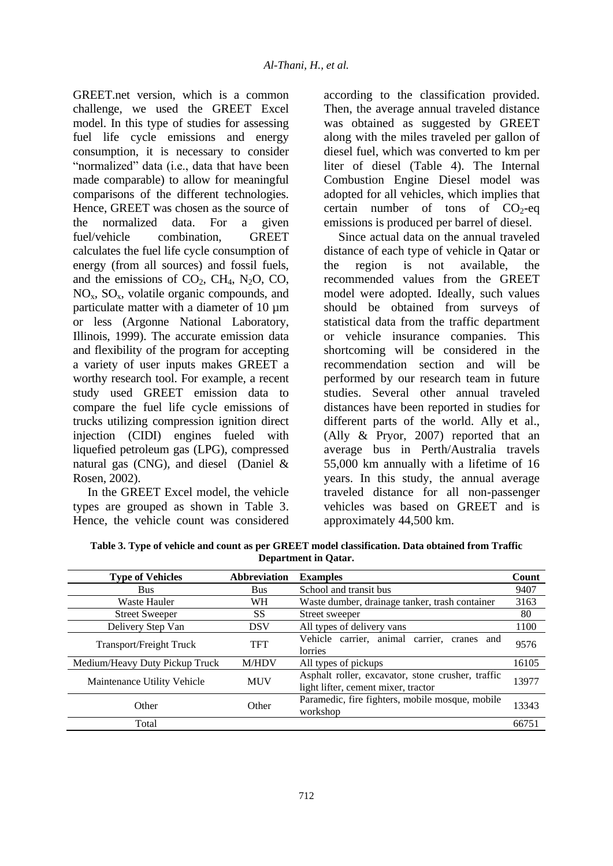GREET.net version, which is a common challenge, we used the GREET Excel model. In this type of studies for assessing fuel life cycle emissions and energy consumption, it is necessary to consider "normalized" data (i.e., data that have been made comparable) to allow for meaningful comparisons of the different technologies. Hence, GREET was chosen as the source of the normalized data. For a given fuel/vehicle combination, GREET calculates the fuel life cycle consumption of energy (from all sources) and fossil fuels, and the emissions of  $CO<sub>2</sub>$ , CH<sub>4</sub>, N<sub>2</sub>O, CO,  $NO<sub>x</sub>$ ,  $SO<sub>x</sub>$ , volatile organic compounds, and particulate matter with a diameter of 10  $\mu$ m or less (Argonne National Laboratory, Illinois, 1999). The accurate emission data and flexibility of the program for accepting a variety of user inputs makes GREET a worthy research tool. For example, a recent study used GREET emission data to compare the fuel life cycle emissions of trucks utilizing compression ignition direct injection (CIDI) engines fueled with liquefied petroleum gas (LPG), compressed natural gas (CNG), and diesel (Daniel & Rosen, 2002).

In the GREET Excel model, the vehicle types are grouped as shown in Table 3. Hence, the vehicle count was considered

according to the classification provided. Then, the average annual traveled distance was obtained as suggested by GREET along with the miles traveled per gallon of diesel fuel, which was converted to km per liter of diesel (Table 4). The Internal Combustion Engine Diesel model was adopted for all vehicles, which implies that certain number of tons of  $CO<sub>2</sub>$ -eq emissions is produced per barrel of diesel.

Since actual data on the annual traveled distance of each type of vehicle in Qatar or the region is not available, the recommended values from the GREET model were adopted. Ideally, such values should be obtained from surveys of statistical data from the traffic department or vehicle insurance companies. This shortcoming will be considered in the recommendation section and will be performed by our research team in future studies. Several other annual traveled distances have been reported in studies for different parts of the world. Ally et al., (Ally & Pryor, 2007) reported that an average bus in Perth/Australia travels 55,000 km annually with a lifetime of 16 years. In this study, the annual average traveled distance for all non-passenger vehicles was based on GREET and is approximately 44,500 km.

| Table 3. Type of vehicle and count as per GREET model classification. Data obtained from Traffic |
|--------------------------------------------------------------------------------------------------|
| Department in Oatar.                                                                             |

| <b>Type of Vehicles</b>        | <b>Abbreviation</b> | <b>Examples</b>                                                                          | Count |
|--------------------------------|---------------------|------------------------------------------------------------------------------------------|-------|
| <b>Bus</b>                     | <b>Bus</b>          | School and transit bus                                                                   | 9407  |
| <b>Waste Hauler</b>            | WH                  | Waste dumber, drainage tanker, trash container                                           | 3163  |
| <b>Street Sweeper</b>          | <b>SS</b>           | Street sweeper                                                                           | 80    |
| Delivery Step Van              | DSV                 | All types of delivery vans                                                               | 1100  |
| Transport/Freight Truck        | <b>TFT</b>          | Vehicle carrier, animal carrier, cranes and<br>lorries                                   | 9576  |
| Medium/Heavy Duty Pickup Truck | <b>M/HDV</b>        | All types of pickups                                                                     | 16105 |
| Maintenance Utility Vehicle    | <b>MUV</b>          | Asphalt roller, excavator, stone crusher, traffic<br>light lifter, cement mixer, tractor | 13977 |
| Other                          | Other               | Paramedic, fire fighters, mobile mosque, mobile<br>workshop                              | 13343 |
| Total                          |                     |                                                                                          | 66751 |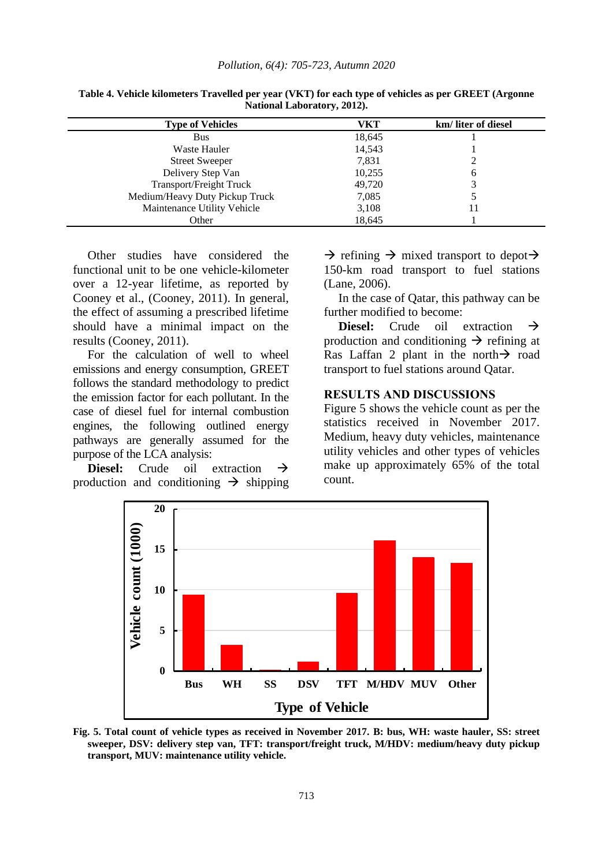| <b>Type of Vehicles</b>        | VKT    | km/liter of diesel |
|--------------------------------|--------|--------------------|
| <b>Bus</b>                     | 18,645 |                    |
| Waste Hauler                   | 14,543 |                    |
| <b>Street Sweeper</b>          | 7,831  |                    |
| Delivery Step Van              | 10,255 | 6                  |
| <b>Transport/Freight Truck</b> | 49,720 |                    |
| Medium/Heavy Duty Pickup Truck | 7,085  |                    |
| Maintenance Utility Vehicle    | 3,108  |                    |
| Other                          | 18,645 |                    |

**Table 4. Vehicle kilometers Travelled per year (VKT) for each type of vehicles as per GREET (Argonne National Laboratory, 2012).**

Other studies have considered the functional unit to be one vehicle-kilometer over a 12-year lifetime, as reported by Cooney et al., (Cooney, 2011). In general, the effect of assuming a prescribed lifetime should have a minimal impact on the results (Cooney, 2011).

For the calculation of well to wheel emissions and energy consumption, GREET follows the standard methodology to predict the emission factor for each pollutant. In the case of diesel fuel for internal combustion engines, the following outlined energy pathways are generally assumed for the purpose of the LCA analysis:

**Diesel:** Crude oil extraction  $\rightarrow$ production and conditioning  $\rightarrow$  shipping

 $\rightarrow$  refining  $\rightarrow$  mixed transport to depot $\rightarrow$ 150-km road transport to fuel stations (Lane, 2006).

In the case of Qatar, this pathway can be further modified to become:

**Diesel:** Crude oil extraction  $\rightarrow$ production and conditioning  $\rightarrow$  refining at Ras Laffan 2 plant in the north  $\rightarrow$  road transport to fuel stations around Qatar.

#### **RESULTS AND DISCUSSIONS**

Figure 5 shows the vehicle count as per the statistics received in November 2017. Medium, heavy duty vehicles, maintenance utility vehicles and other types of vehicles make up approximately 65% of the total count.



**Fig. 5. Total count of vehicle types as received in November 2017. B: bus, WH: waste hauler, SS: street sweeper, DSV: delivery step van, TFT: transport/freight truck, M/HDV: medium/heavy duty pickup transport, MUV: maintenance utility vehicle.**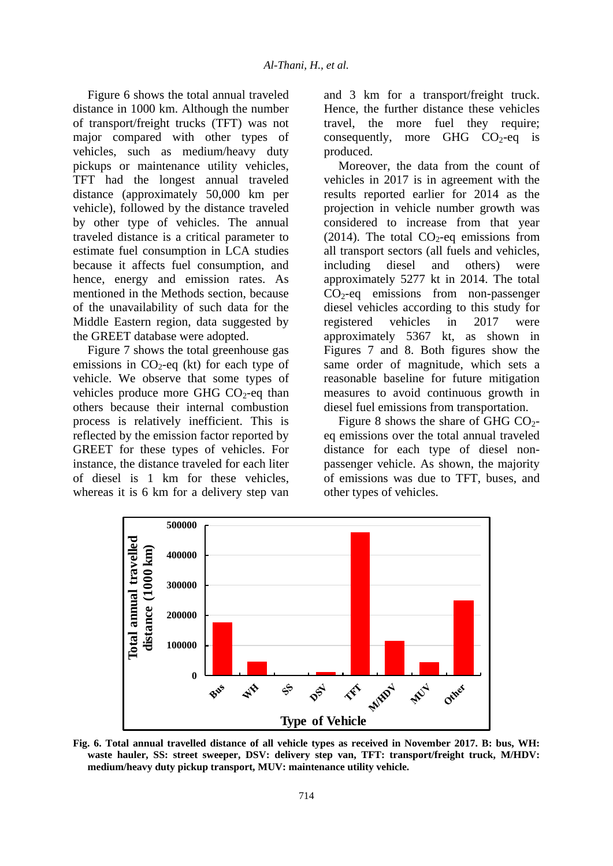Figure 6 shows the total annual traveled distance in 1000 km. Although the number of transport/freight trucks (TFT) was not major compared with other types of vehicles, such as medium/heavy duty pickups or maintenance utility vehicles, TFT had the longest annual traveled distance (approximately 50,000 km per vehicle), followed by the distance traveled by other type of vehicles. The annual traveled distance is a critical parameter to estimate fuel consumption in LCA studies because it affects fuel consumption, and hence, energy and emission rates. As mentioned in the Methods section, because of the unavailability of such data for the Middle Eastern region, data suggested by the GREET database were adopted.

Figure 7 shows the total greenhouse gas emissions in  $CO<sub>2</sub>$ -eq (kt) for each type of vehicle. We observe that some types of vehicles produce more GHG  $CO<sub>2</sub>$ -eq than others because their internal combustion process is relatively inefficient. This is reflected by the emission factor reported by GREET for these types of vehicles. For instance, the distance traveled for each liter of diesel is 1 km for these vehicles, whereas it is 6 km for a delivery step van

and 3 km for a transport/freight truck. Hence, the further distance these vehicles travel, the more fuel they require; consequently, more GHG  $CO<sub>2</sub>$ -eq is produced.

Moreover, the data from the count of vehicles in 2017 is in agreement with the results reported earlier for 2014 as the projection in vehicle number growth was considered to increase from that year (2014). The total  $CO<sub>2</sub>$ -eq emissions from all transport sectors (all fuels and vehicles, including diesel and others) were approximately 5277 kt in 2014. The total  $CO<sub>2</sub>$ -eq emissions from non-passenger diesel vehicles according to this study for registered vehicles in 2017 were approximately 5367 kt, as shown in Figures 7 and 8. Both figures show the same order of magnitude, which sets a reasonable baseline for future mitigation measures to avoid continuous growth in diesel fuel emissions from transportation.

Figure 8 shows the share of GHG  $CO<sub>2</sub>$ eq emissions over the total annual traveled distance for each type of diesel nonpassenger vehicle. As shown, the majority of emissions was due to TFT, buses, and other types of vehicles.



**Fig. 6. Total annual travelled distance of all vehicle types as received in November 2017. B: bus, WH: waste hauler, SS: street sweeper, DSV: delivery step van, TFT: transport/freight truck, M/HDV: medium/heavy duty pickup transport, MUV: maintenance utility vehicle.**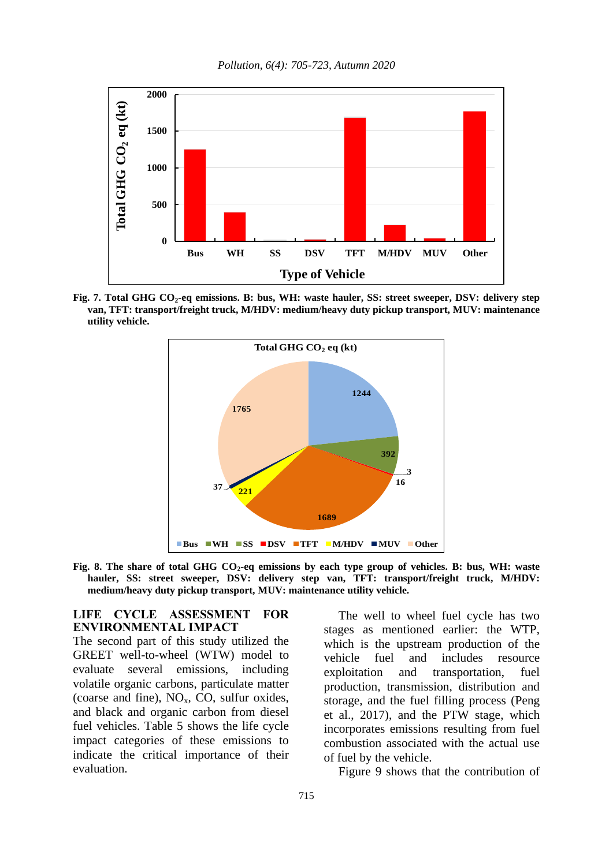*Pollution, 6(4): 705-723, Autumn 2020*



**Fig. 7. Total GHG CO2-eq emissions. B: bus, WH: waste hauler, SS: street sweeper, DSV: delivery step van, TFT: transport/freight truck, M/HDV: medium/heavy duty pickup transport, MUV: maintenance utility vehicle.**



**Fig. 8. The share of total GHG CO2-eq emissions by each type group of vehicles. B: bus, WH: waste hauler, SS: street sweeper, DSV: delivery step van, TFT: transport/freight truck, M/HDV: medium/heavy duty pickup transport, MUV: maintenance utility vehicle.**

#### **LIFE CYCLE ASSESSMENT FOR ENVIRONMENTAL IMPACT**

The second part of this study utilized the GREET well-to-wheel (WTW) model to evaluate several emissions, including volatile organic carbons, particulate matter (coarse and fine),  $NO<sub>x</sub>$ , CO, sulfur oxides, and black and organic carbon from diesel fuel vehicles. Table 5 shows the life cycle impact categories of these emissions to indicate the critical importance of their evaluation.

The well to wheel fuel cycle has two stages as mentioned earlier: the WTP, which is the upstream production of the vehicle fuel and includes resource exploitation and transportation, fuel production, transmission, distribution and storage, and the fuel filling process (Peng et al., 2017), and the PTW stage, which incorporates emissions resulting from fuel combustion associated with the actual use of fuel by the vehicle.

Figure 9 shows that the contribution of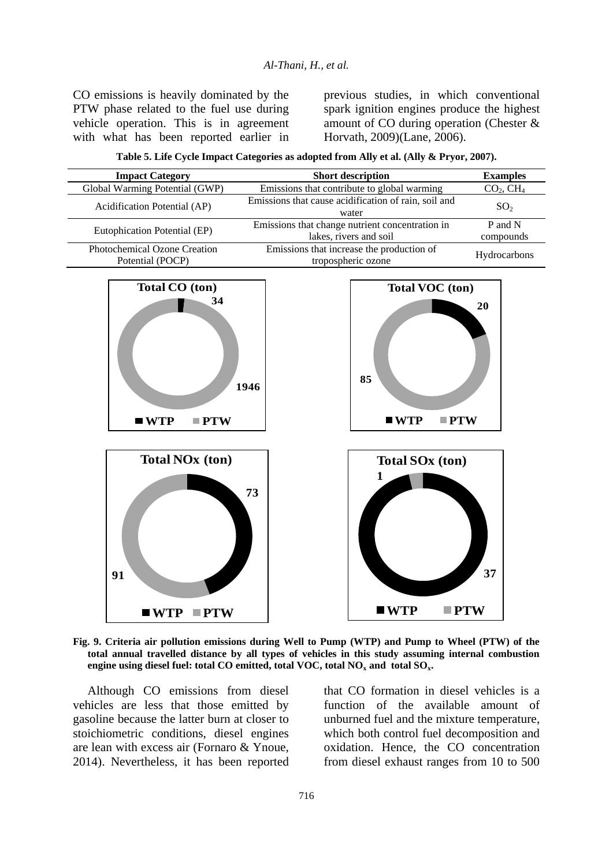CO emissions is heavily dominated by the PTW phase related to the fuel use during vehicle operation. This is in agreement with what has been reported earlier in previous studies, in which conventional spark ignition engines produce the highest amount of CO during operation (Chester & Horvath, 2009)(Lane, 2006).

**Table 5. Life Cycle Impact Categories as adopted from Ally et al. (Ally & Pryor, 2007).**

| <b>Impact Category</b>                                           | <b>Short description</b>                                                         | <b>Examples</b>                   |
|------------------------------------------------------------------|----------------------------------------------------------------------------------|-----------------------------------|
| Global Warming Potential (GWP)                                   | Emissions that contribute to global warming                                      | CO <sub>2</sub> , CH <sub>4</sub> |
| Acidification Potential (AP)                                     | Emissions that cause acidification of rain, soil and<br>water                    | SO <sub>2</sub>                   |
| Eutophication Potential (EP)                                     | Emissions that change nutrient concentration in<br>lakes, rivers and soil        | P and N<br>compounds              |
| Photochemical Ozone Creation<br>Potential (POCP)                 | Emissions that increase the production of<br>tropospheric ozone                  |                                   |
| Total CO (ton)<br>34<br>$\blacksquare$ WTP<br>$\blacksquare$ PTW | <b>Total VOC</b> (ton)<br>85<br>1946<br>$\blacksquare$ WTP<br>$\blacksquare$ PTW | 20                                |
| $\sim$ $\sim$ $\sim$ $\sim$ $\sim$<br>--                         |                                                                                  |                                   |



**Fig. 9. Criteria air pollution emissions during Well to Pump (WTP) and Pump to Wheel (PTW) of the total annual travelled distance by all types of vehicles in this study assuming internal combustion engine using diesel fuel: total CO emitted, total VOC, total NO<sup>x</sup> and total SOx.**

Although CO emissions from diesel vehicles are less that those emitted by gasoline because the latter burn at closer to stoichiometric conditions, diesel engines are lean with excess air (Fornaro & Ynoue, 2014). Nevertheless, it has been reported that CO formation in diesel vehicles is a function of the available amount of unburned fuel and the mixture temperature, which both control fuel decomposition and oxidation. Hence, the CO concentration from diesel exhaust ranges from 10 to 500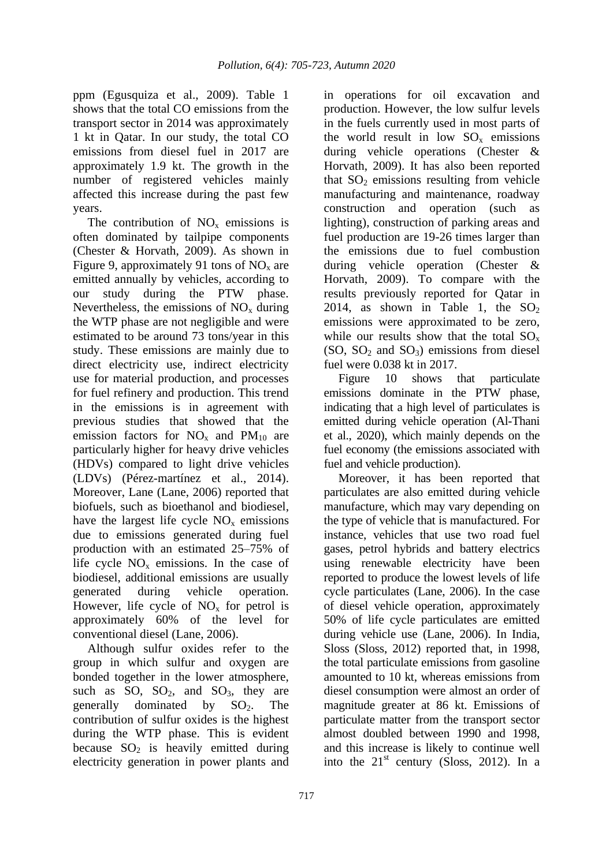ppm (Egusquiza et al., 2009). Table 1 shows that the total CO emissions from the transport sector in 2014 was approximately 1 kt in Qatar. In our study, the total CO emissions from diesel fuel in 2017 are approximately 1.9 kt. The growth in the number of registered vehicles mainly affected this increase during the past few years.

The contribution of  $NO<sub>x</sub>$  emissions is often dominated by tailpipe components (Chester & Horvath, 2009). As shown in Figure 9, approximately 91 tons of  $NO<sub>x</sub>$  are emitted annually by vehicles, according to our study during the PTW phase. Nevertheless, the emissions of  $NO<sub>x</sub>$  during the WTP phase are not negligible and were estimated to be around 73 tons/year in this study. These emissions are mainly due to direct electricity use, indirect electricity use for material production, and processes for fuel refinery and production. This trend in the emissions is in agreement with previous studies that showed that the emission factors for  $NO<sub>x</sub>$  and  $PM<sub>10</sub>$  are particularly higher for heavy drive vehicles (HDVs) compared to light drive vehicles (LDVs) (Pérez-martínez et al., 2014). Moreover, Lane (Lane, 2006) reported that biofuels, such as bioethanol and biodiesel, have the largest life cycle  $NO<sub>x</sub>$  emissions due to emissions generated during fuel production with an estimated 25–75% of life cycle  $NO<sub>x</sub>$  emissions. In the case of biodiesel, additional emissions are usually generated during vehicle operation. However, life cycle of  $NO<sub>x</sub>$  for petrol is approximately 60% of the level for conventional diesel (Lane, 2006).

Although sulfur oxides refer to the group in which sulfur and oxygen are bonded together in the lower atmosphere, such as SO,  $SO_2$ , and  $SO_3$ , they are generally dominated by  $SO<sub>2</sub>$ . The contribution of sulfur oxides is the highest during the WTP phase. This is evident because  $SO_2$  is heavily emitted during electricity generation in power plants and

in operations for oil excavation and production. However, the low sulfur levels in the fuels currently used in most parts of the world result in low  $SO_x$  emissions during vehicle operations (Chester & Horvath, 2009). It has also been reported that  $SO<sub>2</sub>$  emissions resulting from vehicle manufacturing and maintenance, roadway construction and operation (such as lighting), construction of parking areas and fuel production are 19-26 times larger than the emissions due to fuel combustion during vehicle operation (Chester & Horvath, 2009). To compare with the results previously reported for Qatar in 2014, as shown in Table 1, the  $SO<sub>2</sub>$ emissions were approximated to be zero, while our results show that the total  $SO_x$  $(SO, SO<sub>2</sub> and SO<sub>3</sub>)$  emissions from diesel fuel were 0.038 kt in 2017.

Figure 10 shows that particulate emissions dominate in the PTW phase, indicating that a high level of particulates is emitted during vehicle operation (Al-Thani et al., 2020), which mainly depends on the fuel economy (the emissions associated with fuel and vehicle production).

Moreover, it has been reported that particulates are also emitted during vehicle manufacture, which may vary depending on the type of vehicle that is manufactured. For instance, vehicles that use two road fuel gases, petrol hybrids and battery electrics using renewable electricity have been reported to produce the lowest levels of life cycle particulates (Lane, 2006). In the case of diesel vehicle operation, approximately 50% of life cycle particulates are emitted during vehicle use (Lane, 2006). In India, Sloss (Sloss, 2012) reported that, in 1998, the total particulate emissions from gasoline amounted to 10 kt, whereas emissions from diesel consumption were almost an order of magnitude greater at 86 kt. Emissions of particulate matter from the transport sector almost doubled between 1990 and 1998, and this increase is likely to continue well into the  $21<sup>st</sup>$  century (Sloss, 2012). In a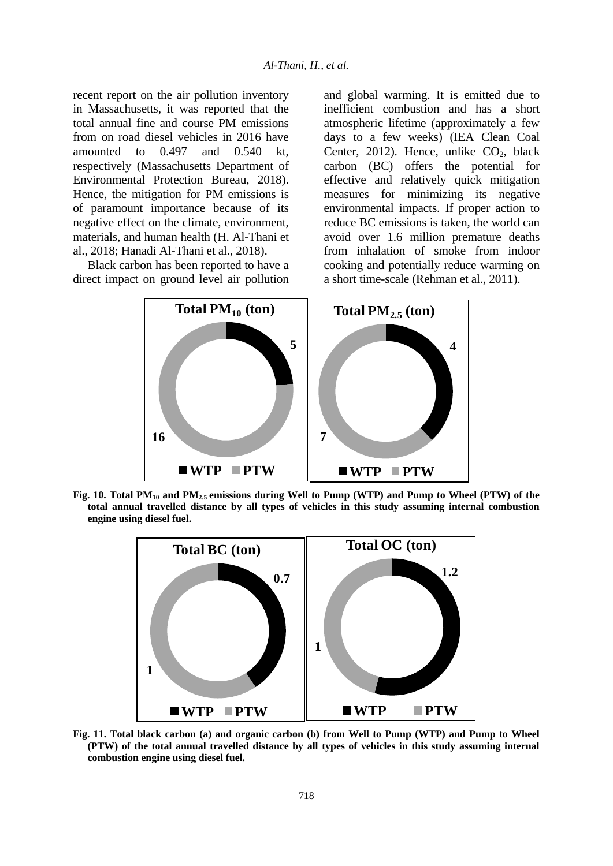recent report on the air pollution inventory in Massachusetts, it was reported that the total annual fine and course PM emissions from on road diesel vehicles in 2016 have amounted to 0.497 and 0.540 kt, respectively (Massachusetts Department of Environmental Protection Bureau, 2018). Hence, the mitigation for PM emissions is of paramount importance because of its negative effect on the climate, environment, materials, and human health (H. Al-Thani et al., 2018; Hanadi Al-Thani et al., 2018).

Black carbon has been reported to have a direct impact on ground level air pollution and global warming. It is emitted due to inefficient combustion and has a short atmospheric lifetime (approximately a few days to a few weeks) (IEA Clean Coal Center, 2012). Hence, unlike  $CO<sub>2</sub>$ , black carbon (BC) offers the potential for effective and relatively quick mitigation measures for minimizing its negative environmental impacts. If proper action to reduce BC emissions is taken, the world can avoid over 1.6 million premature deaths from inhalation of smoke from indoor cooking and potentially reduce warming on a short time-scale (Rehman et al., 2011).



**Fig. 10. Total PM<sup>10</sup> and PM2.5 emissions during Well to Pump (WTP) and Pump to Wheel (PTW) of the total annual travelled distance by all types of vehicles in this study assuming internal combustion engine using diesel fuel.**



**Fig. 11. Total black carbon (a) and organic carbon (b) from Well to Pump (WTP) and Pump to Wheel (PTW) of the total annual travelled distance by all types of vehicles in this study assuming internal combustion engine using diesel fuel.**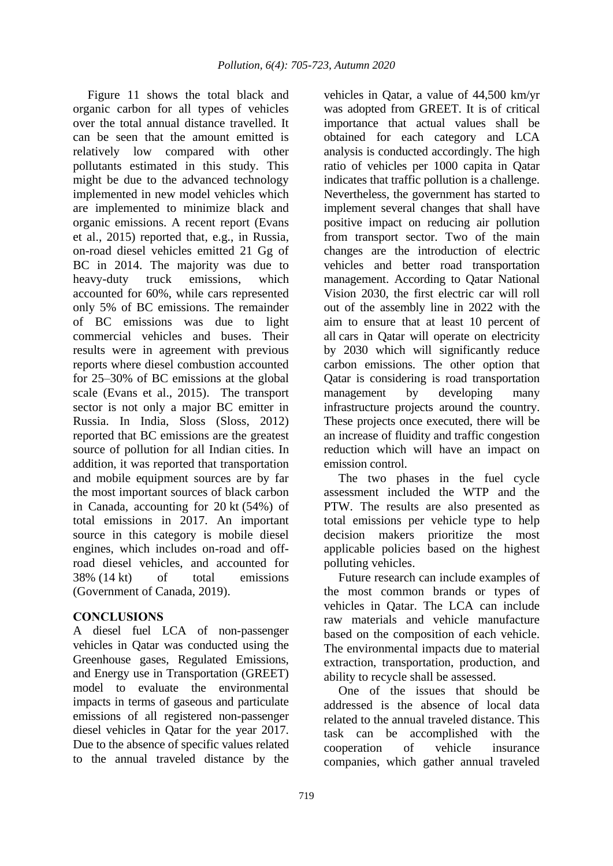Figure 11 shows the total black and organic carbon for all types of vehicles over the total annual distance travelled. It can be seen that the amount emitted is relatively low compared with other pollutants estimated in this study. This might be due to the advanced technology implemented in new model vehicles which are implemented to minimize black and organic emissions. A recent report (Evans et al., 2015) reported that, e.g., in Russia, on-road diesel vehicles emitted 21 Gg of BC in 2014. The majority was due to heavy-duty truck emissions, which accounted for 60%, while cars represented only 5% of BC emissions. The remainder of BC emissions was due to light commercial vehicles and buses. Their results were in agreement with previous reports where diesel combustion accounted for 25–30% of BC emissions at the global scale (Evans et al., 2015). The transport sector is not only a major BC emitter in Russia. In India, Sloss (Sloss, 2012) reported that BC emissions are the greatest source of pollution for all Indian cities. In addition, it was reported that transportation and mobile equipment sources are by far the most important sources of black carbon in Canada, accounting for 20 kt (54%) of total emissions in 2017. An important source in this category is mobile diesel engines, which includes on-road and offroad diesel vehicles, and accounted for 38% (14 kt) of total emissions (Government of Canada, 2019).

## **CONCLUSIONS**

A diesel fuel LCA of non-passenger vehicles in Qatar was conducted using the Greenhouse gases, Regulated Emissions, and Energy use in Transportation (GREET) model to evaluate the environmental impacts in terms of gaseous and particulate emissions of all registered non-passenger diesel vehicles in Qatar for the year 2017. Due to the absence of specific values related to the annual traveled distance by the

vehicles in Qatar, a value of 44,500 km/yr was adopted from GREET. It is of critical importance that actual values shall be obtained for each category and LCA analysis is conducted accordingly. The high ratio of vehicles per 1000 capita in Qatar indicates that traffic pollution is a challenge. Nevertheless, the government has started to implement several changes that shall have positive impact on reducing air pollution from transport sector. Two of the main changes are the introduction of electric vehicles and better road transportation management. According to Qatar National Vision 2030, the first electric car will roll out of the assembly line in 2022 with the aim to ensure that at least 10 percent of all cars in Qatar will operate on electricity by 2030 which will significantly reduce carbon emissions. The other option that Qatar is considering is road transportation management by developing many infrastructure projects around the country. These projects once executed, there will be an increase of fluidity and traffic congestion reduction which will have an impact on emission control.

The two phases in the fuel cycle assessment included the WTP and the PTW. The results are also presented as total emissions per vehicle type to help decision makers prioritize the most applicable policies based on the highest polluting vehicles.

Future research can include examples of the most common brands or types of vehicles in Qatar. The LCA can include raw materials and vehicle manufacture based on the composition of each vehicle. The environmental impacts due to material extraction, transportation, production, and ability to recycle shall be assessed.

One of the issues that should be addressed is the absence of local data related to the annual traveled distance. This task can be accomplished with the cooperation of vehicle insurance companies, which gather annual traveled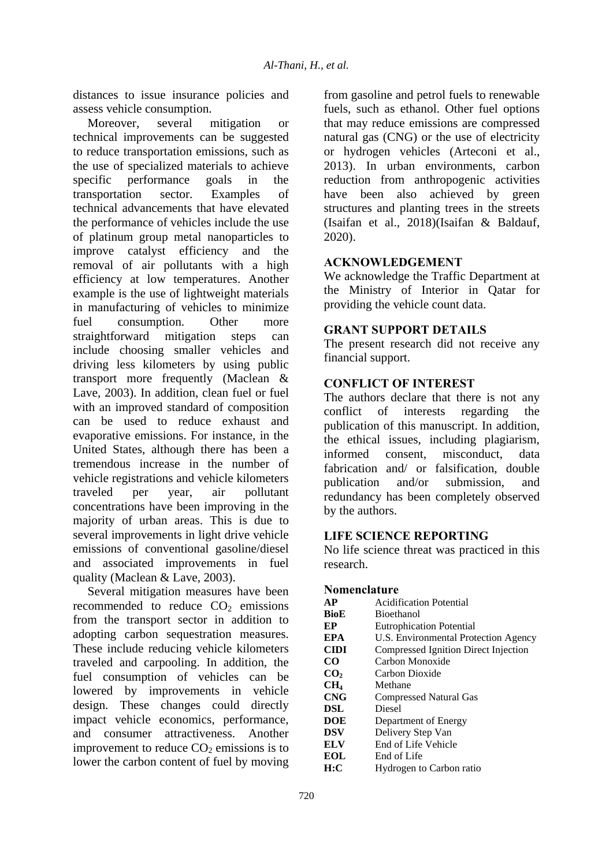distances to issue insurance policies and assess vehicle consumption.

Moreover, several mitigation or technical improvements can be suggested to reduce transportation emissions, such as the use of specialized materials to achieve specific performance goals in the transportation sector. Examples of technical advancements that have elevated the performance of vehicles include the use of platinum group metal nanoparticles to improve catalyst efficiency and the removal of air pollutants with a high efficiency at low temperatures. Another example is the use of lightweight materials in manufacturing of vehicles to minimize fuel consumption. Other more straightforward mitigation steps can include choosing smaller vehicles and driving less kilometers by using public transport more frequently (Maclean & Lave, 2003). In addition, clean fuel or fuel with an improved standard of composition can be used to reduce exhaust and evaporative emissions. For instance, in the United States, although there has been a tremendous increase in the number of vehicle registrations and vehicle kilometers traveled per year, air pollutant concentrations have been improving in the majority of urban areas. This is due to several improvements in light drive vehicle emissions of conventional gasoline/diesel and associated improvements in fuel quality (Maclean & Lave, 2003).

Several mitigation measures have been recommended to reduce  $CO<sub>2</sub>$  emissions from the transport sector in addition to adopting carbon sequestration measures. These include reducing vehicle kilometers traveled and carpooling. In addition, the fuel consumption of vehicles can be lowered by improvements in vehicle design. These changes could directly impact vehicle economics, performance, and consumer attractiveness. Another improvement to reduce  $CO<sub>2</sub>$  emissions is to lower the carbon content of fuel by moving from gasoline and petrol fuels to renewable fuels, such as ethanol. Other fuel options that may reduce emissions are compressed natural gas (CNG) or the use of electricity or hydrogen vehicles (Arteconi et al., 2013). In urban environments, carbon reduction from anthropogenic activities have been also achieved by green structures and planting trees in the streets (Isaifan et al., 2018)(Isaifan & Baldauf, 2020).

## **ACKNOWLEDGEMENT**

We acknowledge the Traffic Department at the Ministry of Interior in Qatar for providing the vehicle count data.

## **GRANT SUPPORT DETAILS**

The present research did not receive any financial support.

## **CONFLICT OF INTEREST**

The authors declare that there is not any conflict of interests regarding the publication of this manuscript. In addition, the ethical issues, including plagiarism, informed consent, misconduct, data fabrication and/ or falsification, double publication and/or submission, and redundancy has been completely observed by the authors.

## **LIFE SCIENCE REPORTING**

No life science threat was practiced in this research.

#### **Nomenclature**

| <b>AP</b>       | Acidification Potential              |
|-----------------|--------------------------------------|
| <b>BioE</b>     | <b>Bioethanol</b>                    |
| EP              | <b>Eutrophication Potential</b>      |
| <b>EPA</b>      | U.S. Environmental Protection Agency |
| <b>CIDI</b>     | Compressed Ignition Direct Injection |
| CO.             | Carbon Monoxide                      |
| CO <sub>2</sub> | Carbon Dioxide                       |
| CH <sub>4</sub> | Methane                              |
| <b>CNG</b>      | <b>Compressed Natural Gas</b>        |
| DSL             | <b>Diesel</b>                        |
| <b>DOE</b>      | Department of Energy                 |
| <b>DSV</b>      | Delivery Step Van                    |
| <b>ELV</b>      | End of Life Vehicle                  |
| EOL             | End of Life                          |
| H:C             | Hydrogen to Carbon ratio             |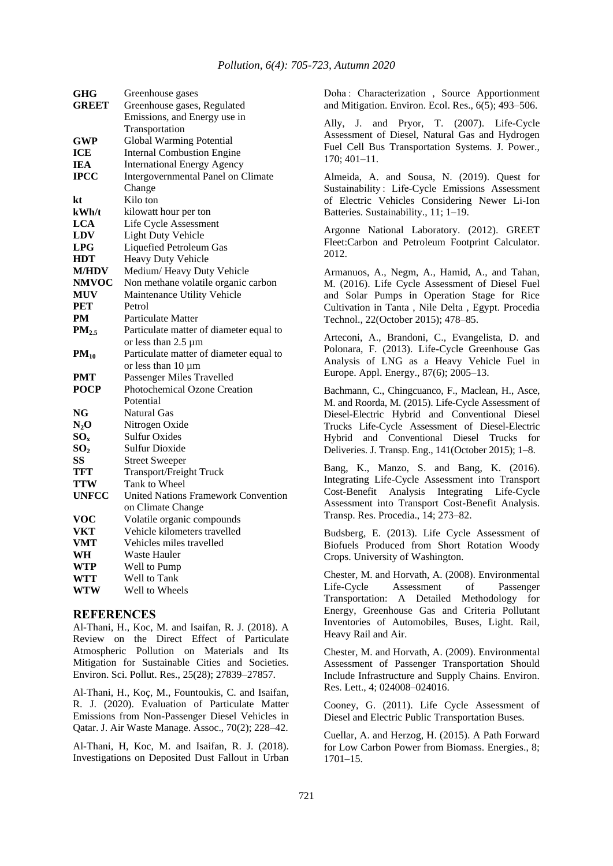| GHG             | Greenhouse gases                           |
|-----------------|--------------------------------------------|
| <b>GREET</b>    | Greenhouse gases, Regulated                |
|                 | Emissions, and Energy use in               |
|                 | Transportation                             |
| <b>GWP</b>      | Global Warming Potential                   |
| <b>ICE</b>      | <b>Internal Combustion Engine</b>          |
| IEA             | <b>International Energy Agency</b>         |
| <b>IPCC</b>     | Intergovernmental Panel on Climate         |
|                 | Change                                     |
| kt              | Kilo ton                                   |
| kWh/t           | kilowatt hour per ton                      |
| <b>LCA</b>      | Life Cycle Assessment                      |
| <b>LDV</b>      | <b>Light Duty Vehicle</b>                  |
| <b>LPG</b>      | Liquefied Petroleum Gas                    |
| <b>HDT</b>      | Heavy Duty Vehicle                         |
| <b>M/HDV</b>    | Medium/Heavy Duty Vehicle                  |
| <b>NMVOC</b>    | Non methane volatile organic carbon        |
| <b>MUV</b>      | Maintenance Utility Vehicle                |
| PET             | Petrol                                     |
| PM              | Particulate Matter                         |
| $PM_{2.5}$      | Particulate matter of diameter equal to    |
|                 | or less than $2.5 \mu m$                   |
| $PM_{10}$       | Particulate matter of diameter equal to    |
|                 | or less than 10 µm                         |
| PMT             | Passenger Miles Travelled                  |
| <b>POCP</b>     | <b>Photochemical Ozone Creation</b>        |
|                 | Potential                                  |
| NG              | Natural Gas                                |
| $N_2O$          | Nitrogen Oxide                             |
| $SO_{x}$        | Sulfur Oxides                              |
| SO <sub>2</sub> | <b>Sulfur Dioxide</b>                      |
| SS              | <b>Street Sweeper</b>                      |
| <b>TFT</b>      | Transport/Freight Truck                    |
| <b>TTW</b>      | Tank to Wheel                              |
| <b>UNFCC</b>    | <b>United Nations Framework Convention</b> |
|                 | on Climate Change                          |
| <b>VOC</b>      | Volatile organic compounds                 |
| <b>VKT</b>      | Vehicle kilometers travelled               |
| <b>VMT</b>      | Vehicles miles travelled                   |
| WH              | Waste Hauler                               |
| <b>WTP</b>      | Well to Pump                               |
| WTT             | Well to Tank                               |
| <b>WTW</b>      | Well to Wheels                             |

#### **REFERENCES**

Al-Thani, H., Koc, M. and Isaifan, R. J. (2018). A Review on the Direct Effect of Particulate Atmospheric Pollution on Materials and Its Mitigation for Sustainable Cities and Societies. Environ. Sci. Pollut. Res., 25(28); 27839–27857.

Al-Thani, H., Koç, M., Fountoukis, C. and Isaifan, R. J. (2020). Evaluation of Particulate Matter Emissions from Non-Passenger Diesel Vehicles in Qatar. J. Air Waste Manage. Assoc., 70(2); 228–42.

Al-Thani, H, Koc, M. and Isaifan, R. J. (2018). Investigations on Deposited Dust Fallout in Urban Doha : Characterization , Source Apportionment and Mitigation. Environ. Ecol. Res., 6(5); 493–506.

Ally, J. and Pryor, T. (2007). Life-Cycle Assessment of Diesel, Natural Gas and Hydrogen Fuel Cell Bus Transportation Systems. J. Power., 170; 401–11.

Almeida, A. and Sousa, N. (2019). Quest for Sustainability : Life-Cycle Emissions Assessment of Electric Vehicles Considering Newer Li-Ion Batteries. Sustainability., 11; 1–19.

Argonne National Laboratory. (2012). GREET Fleet:Carbon and Petroleum Footprint Calculator. 2012.

Armanuos, A., Negm, A., Hamid, A., and Tahan, M. (2016). Life Cycle Assessment of Diesel Fuel and Solar Pumps in Operation Stage for Rice Cultivation in Tanta , Nile Delta , Egypt. Procedia Technol., 22(October 2015); 478–85.

Arteconi, A., Brandoni, C., Evangelista, D. and Polonara, F. (2013). Life-Cycle Greenhouse Gas Analysis of LNG as a Heavy Vehicle Fuel in Europe. Appl. Energy., 87(6); 2005–13.

Bachmann, C., Chingcuanco, F., Maclean, H., Asce, M. and Roorda, M. (2015). Life-Cycle Assessment of Diesel-Electric Hybrid and Conventional Diesel Trucks Life-Cycle Assessment of Diesel-Electric Hybrid and Conventional Diesel Trucks for Deliveries. J. Transp. Eng., 141(October 2015); 1–8.

Bang, K., Manzo, S. and Bang, K. (2016). Integrating Life-Cycle Assessment into Transport Cost-Benefit Analysis Integrating Life-Cycle Assessment into Transport Cost-Benefit Analysis. Transp. Res. Procedia., 14; 273–82.

Budsberg, E. (2013). Life Cycle Assessment of Biofuels Produced from Short Rotation Woody Crops. University of Washington.

Chester, M. and Horvath, A. (2008). Environmental Life-Cycle Assessment of Passenger Transportation: A Detailed Methodology for Energy, Greenhouse Gas and Criteria Pollutant Inventories of Automobiles, Buses, Light. Rail, Heavy Rail and Air.

Chester, M. and Horvath, A. (2009). Environmental Assessment of Passenger Transportation Should Include Infrastructure and Supply Chains. Environ. Res. Lett., 4; 024008–024016.

Cooney, G. (2011). Life Cycle Assessment of Diesel and Electric Public Transportation Buses.

Cuellar, A. and Herzog, H. (2015). A Path Forward for Low Carbon Power from Biomass. Energies., 8; 1701–15.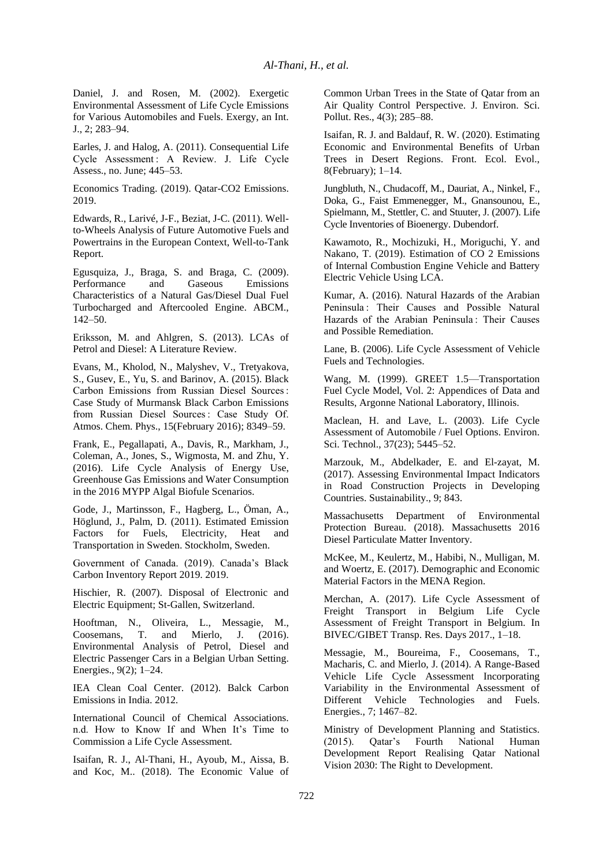Daniel, J. and Rosen, M. (2002). Exergetic Environmental Assessment of Life Cycle Emissions for Various Automobiles and Fuels. Exergy, an Int. J., 2; 283–94.

Earles, J. and Halog, A. (2011). Consequential Life Cycle Assessment : A Review. J. Life Cycle Assess., no. June; 445–53.

Economics Trading. (2019). Qatar-CO2 Emissions. 2019.

Edwards, R., Larivé, J-F., Beziat, J-C. (2011). Wellto-Wheels Analysis of Future Automotive Fuels and Powertrains in the European Context, Well-to-Tank Report.

Egusquiza, J., Braga, S. and Braga, C. (2009). Performance and Gaseous Emissions Characteristics of a Natural Gas/Diesel Dual Fuel Turbocharged and Aftercooled Engine. ABCM., 142–50.

Eriksson, M. and Ahlgren, S. (2013). LCAs of Petrol and Diesel: A Literature Review.

Evans, M., Kholod, N., Malyshev, V., Tretyakova, S., Gusev, E., Yu, S. and Barinov, A. (2015). Black Carbon Emissions from Russian Diesel Sources : Case Study of Murmansk Black Carbon Emissions from Russian Diesel Sources : Case Study Of. Atmos. Chem. Phys., 15(February 2016); 8349–59.

Frank, E., Pegallapati, A., Davis, R., Markham, J., Coleman, A., Jones, S., Wigmosta, M. and Zhu, Y. (2016). Life Cycle Analysis of Energy Use, Greenhouse Gas Emissions and Water Consumption in the 2016 MYPP Algal Biofule Scenarios.

Gode, J., Martinsson, F., Hagberg, L., Öman, A., Höglund, J., Palm, D. (2011). Estimated Emission Factors for Fuels, Electricity, Heat and Transportation in Sweden. Stockholm, Sweden.

Government of Canada. (2019). Canada's Black Carbon Inventory Report 2019. 2019.

Hischier, R. (2007). Disposal of Electronic and Electric Equipment; St-Gallen, Switzerland.

Hooftman, N., Oliveira, L., Messagie, M., Coosemans, T. and Mierlo, J. (2016). Environmental Analysis of Petrol, Diesel and Electric Passenger Cars in a Belgian Urban Setting. Energies., 9(2); 1–24.

IEA Clean Coal Center. (2012). Balck Carbon Emissions in India. 2012.

International Council of Chemical Associations. n.d. How to Know If and When It's Time to Commission a Life Cycle Assessment.

Isaifan, R. J., Al-Thani, H., Ayoub, M., Aissa, B. and Koc, M.. (2018). The Economic Value of Common Urban Trees in the State of Qatar from an Air Quality Control Perspective. J. Environ. Sci. Pollut. Res., 4(3); 285–88.

Isaifan, R. J. and Baldauf, R. W. (2020). Estimating Economic and Environmental Benefits of Urban Trees in Desert Regions. Front. Ecol. Evol., 8(February); 1–14.

Jungbluth, N., Chudacoff, M., Dauriat, A., Ninkel, F., Doka, G., Faist Emmenegger, M., Gnansounou, E., Spielmann, M., Stettler, C. and Stuuter, J. (2007). Life Cycle Inventories of Bioenergy. Dubendorf.

Kawamoto, R., Mochizuki, H., Moriguchi, Y. and Nakano, T. (2019). Estimation of CO 2 Emissions of Internal Combustion Engine Vehicle and Battery Electric Vehicle Using LCA.

Kumar, A. (2016). Natural Hazards of the Arabian Peninsula : Their Causes and Possible Natural Hazards of the Arabian Peninsula : Their Causes and Possible Remediation.

Lane, B. (2006). Life Cycle Assessment of Vehicle Fuels and Technologies.

Wang, M. (1999). GREET 1.5—Transportation Fuel Cycle Model, Vol. 2: Appendices of Data and Results, Argonne National Laboratory, Illinois.

Maclean, H. and Lave, L. (2003). Life Cycle Assessment of Automobile / Fuel Options. Environ. Sci. Technol., 37(23); 5445–52.

Marzouk, M., Abdelkader, E. and El-zayat, M. (2017). Assessing Environmental Impact Indicators in Road Construction Projects in Developing Countries. Sustainability., 9; 843.

Massachusetts Department of Environmental Protection Bureau. (2018). Massachusetts 2016 Diesel Particulate Matter Inventory.

McKee, M., Keulertz, M., Habibi, N., Mulligan, M. and Woertz, E. (2017). Demographic and Economic Material Factors in the MENA Region.

Merchan, A. (2017). Life Cycle Assessment of Freight Transport in Belgium Life Cycle Assessment of Freight Transport in Belgium. In BIVEC/GIBET Transp. Res. Days 2017., 1–18.

Messagie, M., Boureima, F., Coosemans, T., Macharis, C. and Mierlo, J. (2014). A Range-Based Vehicle Life Cycle Assessment Incorporating Variability in the Environmental Assessment of Different Vehicle Technologies and Fuels. Energies., 7; 1467–82.

Ministry of Development Planning and Statistics. (2015). Qatar's Fourth National Human Development Report Realising Qatar National Vision 2030: The Right to Development.